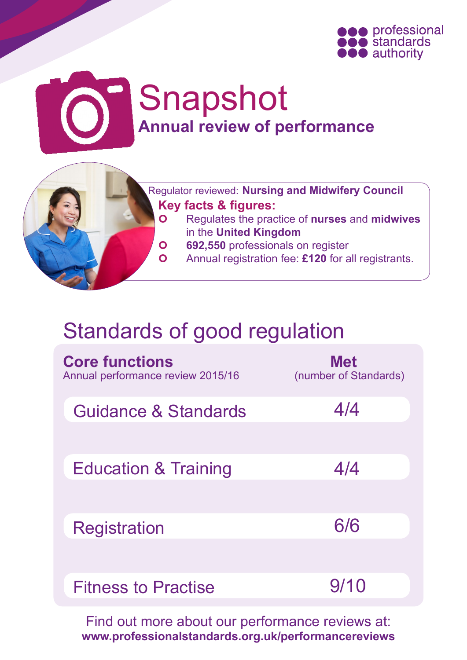

# Snapshot **Annual review of performance**



- Regulates the practice of **nurses** and **midwives** in the **United Kingdom**
- **692,550** professionals on register
- Annual registration fee: **£120** for all registrants.

# Standards of good regulation

| <b>Core functions</b><br>Annual performance review 2015/16 | <b>Met</b><br>(number of Standards) |
|------------------------------------------------------------|-------------------------------------|
| Guidance & Standards                                       | 4/4                                 |
| <b>Education &amp; Training</b>                            | 4/4                                 |
| Registration                                               | 6/6                                 |
| <b>Fitness to Practise</b>                                 | 9/10                                |

Find out more about our performance reviews at: **[www.professionalstandards.org.uk/performancereviews](http://www.professionalstandards.org.uk/performancereviews)**